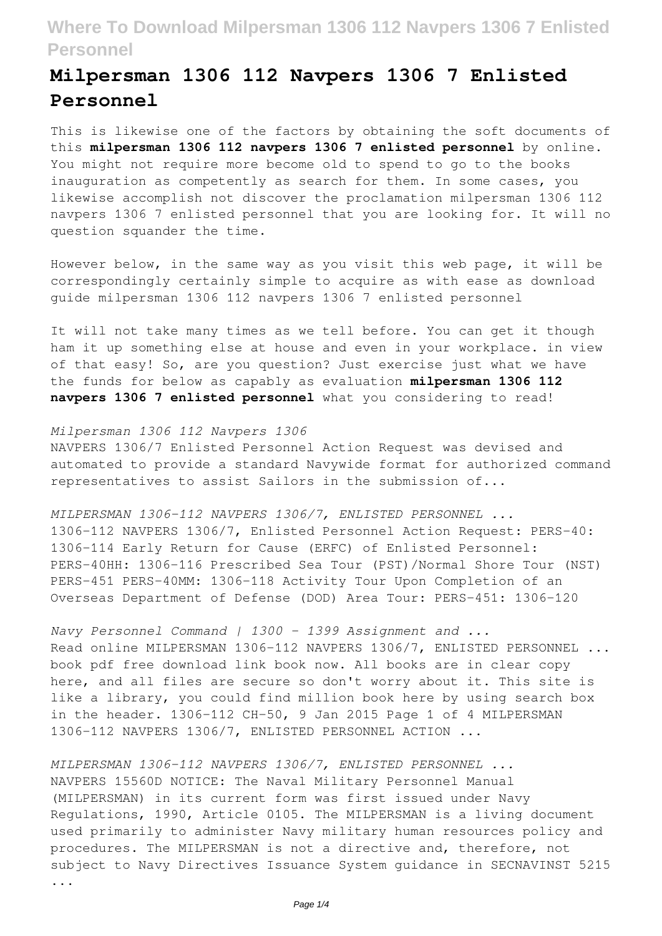# **Milpersman 1306 112 Navpers 1306 7 Enlisted Personnel**

This is likewise one of the factors by obtaining the soft documents of this **milpersman 1306 112 navpers 1306 7 enlisted personnel** by online. You might not require more become old to spend to go to the books inauguration as competently as search for them. In some cases, you likewise accomplish not discover the proclamation milpersman 1306 112 navpers 1306 7 enlisted personnel that you are looking for. It will no question squander the time.

However below, in the same way as you visit this web page, it will be correspondingly certainly simple to acquire as with ease as download guide milpersman 1306 112 navpers 1306 7 enlisted personnel

It will not take many times as we tell before. You can get it though ham it up something else at house and even in your workplace. in view of that easy! So, are you question? Just exercise just what we have the funds for below as capably as evaluation **milpersman 1306 112 navpers 1306 7 enlisted personnel** what you considering to read!

### *Milpersman 1306 112 Navpers 1306*

NAVPERS 1306/7 Enlisted Personnel Action Request was devised and automated to provide a standard Navywide format for authorized command representatives to assist Sailors in the submission of...

*MILPERSMAN 1306-112 NAVPERS 1306/7, ENLISTED PERSONNEL ...* 1306-112 NAVPERS 1306/7, Enlisted Personnel Action Request: PERS-40: 1306-114 Early Return for Cause (ERFC) of Enlisted Personnel: PERS-40HH: 1306-116 Prescribed Sea Tour (PST)/Normal Shore Tour (NST) PERS-451 PERS-40MM: 1306-118 Activity Tour Upon Completion of an Overseas Department of Defense (DOD) Area Tour: PERS-451: 1306-120

*Navy Personnel Command | 1300 - 1399 Assignment and ...* Read online MILPERSMAN 1306-112 NAVPERS 1306/7, ENLISTED PERSONNEL ... book pdf free download link book now. All books are in clear copy here, and all files are secure so don't worry about it. This site is like a library, you could find million book here by using search box in the header. 1306-112 CH-50, 9 Jan 2015 Page 1 of 4 MILPERSMAN 1306-112 NAVPERS 1306/7, ENLISTED PERSONNEL ACTION ...

*MILPERSMAN 1306-112 NAVPERS 1306/7, ENLISTED PERSONNEL ...* NAVPERS 15560D NOTICE: The Naval Military Personnel Manual (MILPERSMAN) in its current form was first issued under Navy Regulations, 1990, Article 0105. The MILPERSMAN is a living document used primarily to administer Navy military human resources policy and procedures. The MILPERSMAN is not a directive and, therefore, not subject to Navy Directives Issuance System guidance in SECNAVINST 5215

...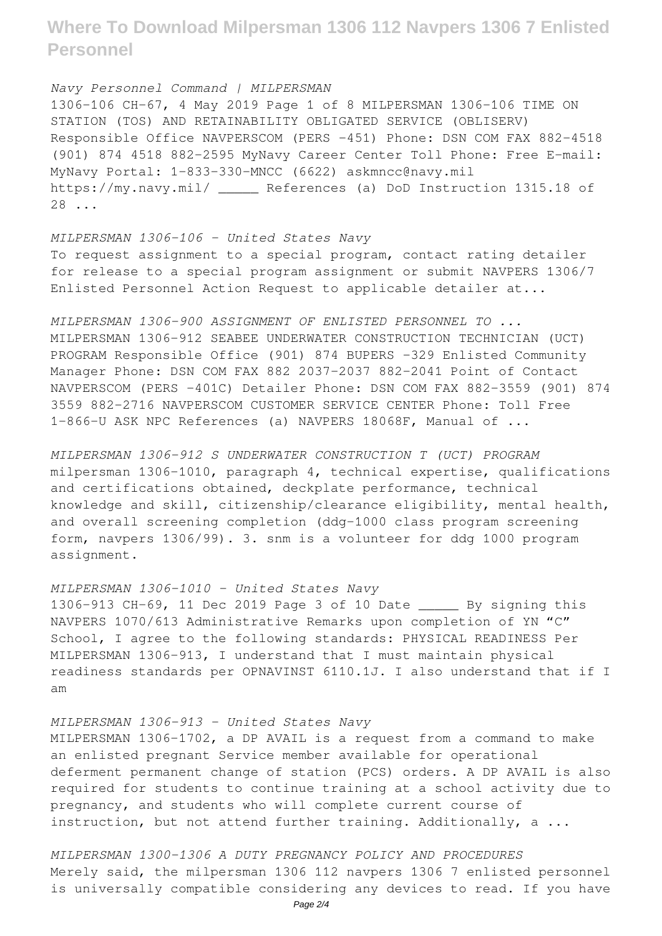*Navy Personnel Command | MILPERSMAN* 1306-106 CH-67, 4 May 2019 Page 1 of 8 MILPERSMAN 1306-106 TIME ON STATION (TOS) AND RETAINABILITY OBLIGATED SERVICE (OBLISERV) Responsible Office NAVPERSCOM (PERS -451) Phone: DSN COM FAX 882-4518 (901) 874 4518 882-2595 MyNavy Career Center Toll Phone: Free E-mail: MyNavy Portal: 1-833-330-MNCC (6622) askmncc@navy.mil https://my.navy.mil/ \_\_\_\_\_ References (a) DoD Instruction 1315.18 of 28 ...

*MILPERSMAN 1306-106 - United States Navy* To request assignment to a special program, contact rating detailer for release to a special program assignment or submit NAVPERS 1306/7 Enlisted Personnel Action Request to applicable detailer at...

*MILPERSMAN 1306-900 ASSIGNMENT OF ENLISTED PERSONNEL TO ...* MILPERSMAN 1306-912 SEABEE UNDERWATER CONSTRUCTION TECHNICIAN (UCT) PROGRAM Responsible Office (901) 874 BUPERS -329 Enlisted Community Manager Phone: DSN COM FAX 882 2037-2037 882-2041 Point of Contact NAVPERSCOM (PERS -401C) Detailer Phone: DSN COM FAX 882-3559 (901) 874 3559 882-2716 NAVPERSCOM CUSTOMER SERVICE CENTER Phone: Toll Free 1-866-U ASK NPC References (a) NAVPERS 18068F, Manual of ...

*MILPERSMAN 1306-912 S UNDERWATER CONSTRUCTION T (UCT) PROGRAM* milpersman 1306-1010, paragraph 4, technical expertise, qualifications and certifications obtained, deckplate performance, technical knowledge and skill, citizenship/clearance eligibility, mental health, and overall screening completion (ddg-1000 class program screening form, navpers 1306/99). 3. snm is a volunteer for ddg 1000 program assignment.

### *MILPERSMAN 1306-1010 - United States Navy*

1306-913 CH-69, 11 Dec 2019 Page 3 of 10 Date \_\_\_\_\_ By signing this NAVPERS 1070/613 Administrative Remarks upon completion of YN "C" School, I agree to the following standards: PHYSICAL READINESS Per MILPERSMAN 1306-913, I understand that I must maintain physical readiness standards per OPNAVINST 6110.1J. I also understand that if I am

#### *MILPERSMAN 1306-913 - United States Navy*

MILPERSMAN 1306-1702, a DP AVAIL is a request from a command to make an enlisted pregnant Service member available for operational deferment permanent change of station (PCS) orders. A DP AVAIL is also required for students to continue training at a school activity due to pregnancy, and students who will complete current course of instruction, but not attend further training. Additionally, a ...

*MILPERSMAN 1300-1306 A DUTY PREGNANCY POLICY AND PROCEDURES* Merely said, the milpersman 1306 112 navpers 1306 7 enlisted personnel is universally compatible considering any devices to read. If you have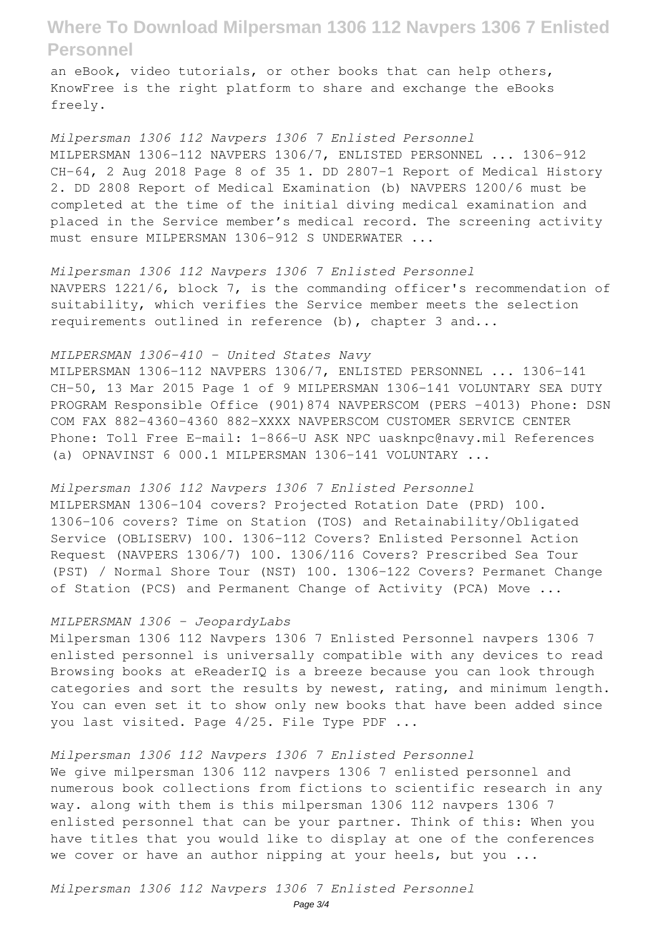an eBook, video tutorials, or other books that can help others, KnowFree is the right platform to share and exchange the eBooks freely.

*Milpersman 1306 112 Navpers 1306 7 Enlisted Personnel* MILPERSMAN 1306-112 NAVPERS 1306/7, ENLISTED PERSONNEL ... 1306-912 CH-64, 2 Aug 2018 Page 8 of 35 1. DD 2807-1 Report of Medical History 2. DD 2808 Report of Medical Examination (b) NAVPERS 1200/6 must be completed at the time of the initial diving medical examination and placed in the Service member's medical record. The screening activity must ensure MILPERSMAN 1306-912 S UNDERWATER ...

*Milpersman 1306 112 Navpers 1306 7 Enlisted Personnel* NAVPERS 1221/6, block 7, is the commanding officer's recommendation of suitability, which verifies the Service member meets the selection requirements outlined in reference (b), chapter 3 and...

#### *MILPERSMAN 1306-410 - United States Navy*

MILPERSMAN 1306-112 NAVPERS 1306/7, ENLISTED PERSONNEL ... 1306-141 CH-50, 13 Mar 2015 Page 1 of 9 MILPERSMAN 1306-141 VOLUNTARY SEA DUTY PROGRAM Responsible Office (901)874 NAVPERSCOM (PERS -4013) Phone: DSN COM FAX 882-4360-4360 882-XXXX NAVPERSCOM CUSTOMER SERVICE CENTER Phone: Toll Free E-mail: 1-866-U ASK NPC uasknpc@navy.mil References (a) OPNAVINST 6 000.1 MILPERSMAN 1306-141 VOLUNTARY ...

*Milpersman 1306 112 Navpers 1306 7 Enlisted Personnel* MILPERSMAN 1306-104 covers? Projected Rotation Date (PRD) 100. 1306-106 covers? Time on Station (TOS) and Retainability/Obligated Service (OBLISERV) 100. 1306-112 Covers? Enlisted Personnel Action Request (NAVPERS 1306/7) 100. 1306/116 Covers? Prescribed Sea Tour (PST) / Normal Shore Tour (NST) 100. 1306-122 Covers? Permanet Change of Station (PCS) and Permanent Change of Activity (PCA) Move ...

#### *MILPERSMAN 1306 - JeopardyLabs*

Milpersman 1306 112 Navpers 1306 7 Enlisted Personnel navpers 1306 7 enlisted personnel is universally compatible with any devices to read Browsing books at eReaderIQ is a breeze because you can look through categories and sort the results by newest, rating, and minimum length. You can even set it to show only new books that have been added since you last visited. Page 4/25. File Type PDF ...

### *Milpersman 1306 112 Navpers 1306 7 Enlisted Personnel*

We give milpersman 1306 112 navpers 1306 7 enlisted personnel and numerous book collections from fictions to scientific research in any way. along with them is this milpersman 1306 112 navpers 1306 7 enlisted personnel that can be your partner. Think of this: When you have titles that you would like to display at one of the conferences we cover or have an author nipping at your heels, but you ...

*Milpersman 1306 112 Navpers 1306 7 Enlisted Personnel*